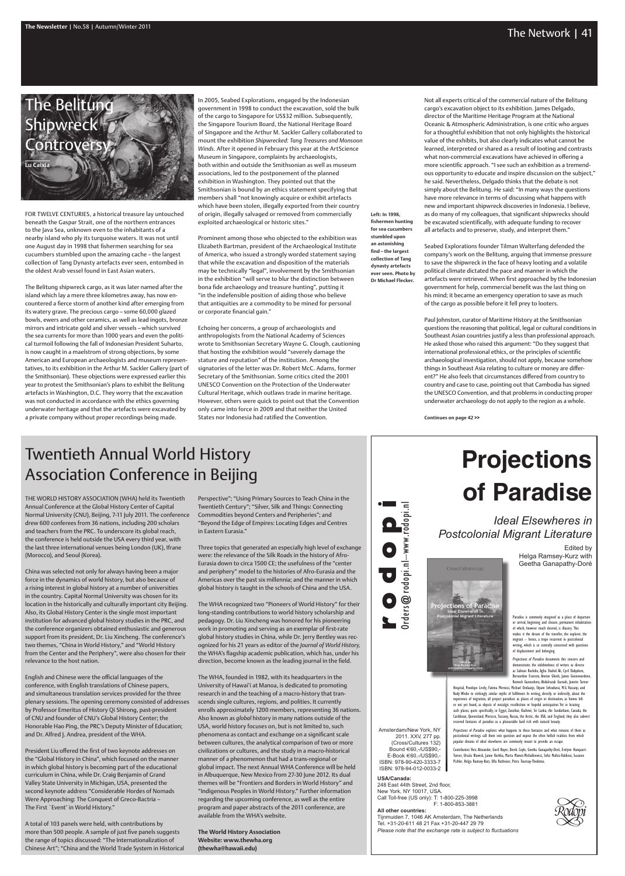### The Newsletter | No.58 | Autumn/Winter 2011 **The Network | 41**

FOR TWELVE CENTURIES, a historical treasure lay untouched beneath the Gaspar Strait, one of the northern entrances to the Java Sea, unknown even to the inhabitants of a nearby island who ply its turquoise waters. It was not until one August day in 1998 that fishermen searching for sea cucumbers stumbled upon the amazing cache – the largest collection of Tang Dynasty artefacts ever seen, entombed in the oldest Arab vessel found in East Asian waters.

The Belitung shipwreck cargo, as it was later named after the island which lay a mere three kilometres away, has now encountered a fierce storm of another kind after emerging from its watery grave. The precious cargo – some 60,000 glazed bowls, ewers and other ceramics, as well as lead ingots, bronze mirrors and intricate gold and silver vessels – which survived the sea currents for more than 1000 years and even the political turmoil following the fall of Indonesian President Suharto, is now caught in a maelstrom of strong objections, by some American and European archaeologists and museum representatives, to its exhibition in the Arthur M. Sackler Gallery (part of the Smithsonian). These objections were expressed earlier this year to protest the Smithsonian's plans to exhibit the Belitung artefacts in Washington, D.C. They worry that the excavation was not conducted in accordance with the ethics governing underwater heritage and that the artefacts were excavated by a private company without proper recordings being made.

In 2005, Seabed Explorations, engaged by the Indonesian government in 1998 to conduct the excavation, sold the bulk of the cargo to Singapore for US\$32 million. Subsequently, the Singapore Tourism Board, the National Heritage Board of Singapore and the Arthur M. Sackler Gallery collaborated to mount the exhibition *Shipwrecked: Tang Treasures and Monsoon Winds*. After it opened in February this year at the ArtScience Museum in Singapore, complaints by archaeologists, both within and outside the Smithsonian as well as museum associations, led to the postponement of the planned exhibition in Washington. They pointed out that the Smithsonian is bound by an ethics statement specifying that members shall "not knowingly acquire or exhibit artefacts which have been stolen, illegally exported from their country of origin, illegally salvaged or removed from commercially exploited archaeological or historic sites."

Prominent among those who objected to the exhibition was Elizabeth Bartman, president of the Archaeological Institute of America, who issued a strongly worded statement saying that while the excavation and disposition of the materials may be technically "legal", involvement by the Smithsonian in the exhibition "will serve to blur the distinction between bona fide archaeology and treasure hunting", putting it "in the indefensible position of aiding those who believe that antiquities are a commodity to be mined for personal or corporate financial gain."

Echoing her concerns, a group of archaeologists and anthropologists from the National Academy of Sciences wrote to Smithsonian Secretary Wayne G. Clough, cautioning that hosting the exhibition would "severely damage the stature and reputation" of the institution. Among the signatories of the letter was Dr. Robert McC. Adams, former Secretary of the Smithsonian. Some critics cited the 2001 UNESCO Convention on the Protection of the Underwater Cultural Heritage, which outlaws trade in marine heritage. However, others were quick to point out that the Convention only came into force in 2009 and that neither the United States nor Indonesia had ratified the Convention.

The World History Association (WHA) held its Twentieth Annual Conference at the Global History Center of Capital Normal University (CNU), Beijing, 7-11 July 2011. The conference drew 600 conferees from 36 nations, including 200 scholars and teachers from the PRC. To underscore its global reach, the conference is held outside the USA every third year, with the last three international venues being London (UK), Ifrane (Morocco), and Seoul (Korea).

China was selected not only for always having been a major force in the dynamics of world history, but also because of a rising interest in global history at a number of universities in the country. Capital Normal University was chosen for its location in the historically and culturally important city Beijing. Also, its Global History Center is the single most important institution for advanced global history studies in the PRC, and the conference organizers obtained enthusiastic and generous support from its president, Dr. Liu Xincheng. The conference's two themes, "China in World History," and "World History from the Center and the Periphery", were also chosen for their relevance to the host nation.

English and Chinese were the official languages of the conference, with English translations of Chinese papers, and simultaneous translation services provided for the three plenary sessions. The opening ceremony consisted of addresses by Professor Emeritus of History Qi Shirong, past-president of CNU and founder of CNU's Global History Center; the Honorable Hao Ping, the PRC's Deputy Minister of Education; and Dr. Alfred J. Andrea, president of the WHA.

President Liu offered the first of two keynote addresses on the "Global History in China", which focused on the manner in which global history is becoming part of the educational curriculum in China, while Dr. Craig Benjamin of Grand Valley State University in Michigan, USA, presented the second keynote address "Considerable Hordes of Nomads Were Approaching: The Conquest of Greco-Bactria – The First `Event' in World History."

Hospital, Penelope Lively, Fatima Mernissi, Michael Ondaatje, Shyam Selvadurai, M.G. Vassanji, and Rudy Wiebe to strikingly similar myths of fulfilment. In writing, directly or indirectly, about the experience of migration, all project paradises as places of origin or destination, as homes left or not yet found, as objects of nostalgic recollection or hopeful anticipation. Yet in locating such places, quite specifically, in Egypt, Zanzibar, Kashmir, Sri Lanka, the Sundarbans, Canada, the Caribbean, Queensland, Morocco, Tuscany, Russia, the Arctic, the USA, and England, they also subvert received fantasies of paradise as a pleasurable land rich with natural beauty

A total of 103 panels were held, with contributions by more than 500 people. A sample of just five panels suggests the range of topics discussed: "The Internationalization of Chinese Art"; "China and the World Trade System in Historical

tors: Vera Alexander, Gerd Bayer, Derek Coyle, Geetha Ganapathy-Doré, Evelyne Hanquart-Turner, Ursula Kluwick, Janne Korkka, Marta Mamet-Michalkiewicz, Sofia Muñoz-Valdieso, Susanne Pichler, Helga Ramsey-Kurz, Ulla Ratheiser, Petra Tournay-Thedotou.

248 East 44th Street, 2nd floor, New York, NY 10017, USA. Call Toll-free (US only): T: 1-800-225-3998 F: 1-800-853-3881

Not all experts critical of the commercial nature of the Belitung cargo's excavation object to its exhibition. James Delgado, director of the Maritime Heritage Program at the National Oceanic & Atmospheric Administration, is one critic who argues for a thoughtful exhibition that not only highlights the historical value of the exhibits, but also clearly indicates what cannot be learned, interpreted or shared as a result of looting and contrasts what non-commercial excavations have achieved in offering a more scientific approach. "I see such an exhibition as a tremendous opportunity to educate and inspire discussion on the subject," he said. Nevertheless, Delgado thinks that the debate is not simply about the Belitung. He said: "In many ways the questions have more relevance in terms of discussing what happens with new and important shipwreck discoveries in Indonesia. I believe, as do many of my colleagues, that significant shipwrecks should be excavated scientifically, with adequate funding to recover all artefacts and to preserve, study, and interpret them."

# **of Paradise Projections**

Seabed Explorations founder Tilman Walterfang defended the company's work on the Belitung, arguing that immense pressure to save the shipwreck in the face of heavy looting and a volatile political climate dictated the pace and manner in which the artefacts were retrieved. When first approached by the Indonesian government for help, commercial benefit was the last thing on his mind; it became an emergency operation to save as much of the cargo as possible before it fell prey to looters.

Paul Johnston, curator of Maritime History at the Smithsonian questions the reasoning that political, legal or cultural conditions in Southeast Asian countries justify a less than professional approach. He asked those who raised this argument: "Do they suggest that international professional ethics, or the principles of scientific archaeological investigation, should not apply, because somehow things in Southeast Asia relating to culture or money are different?" He also feels that circumstances differed from country to country and case to case, pointing out that Cambodia has signed the UNESCO Convention, and that problems in conducting proper underwater archaeology do not apply to the region as a whole.

**Continues on page 42 >>**

Perspective"; "Using Primary Sources to Teach China in the Twentieth Century"; "Silver, Silk and Things: Connecting Commodities beyond Centers and Peripheries"; and "Beyond the Edge of Empires: Locating Edges and Centres in Eastern Eurasia."

Three topics that generated an especially high level of exchange were: the relevance of the Silk Roads in the history of Afro-Eurasia down to circa 1500 CE; the usefulness of the "center and periphery" model to the histories of Afro-Eurasia and the Americas over the past six millennia; and the manner in which global history is taught in the schools of China and the USA.

The WHA recognized two "Pioneers of World History" for their long-standing contributions to world history scholarship and pedagogy. Dr. Liu Xincheng was honored for his pioneering work in promoting and serving as an exemplar of first-rate global history studies in China, while Dr. Jerry Bentley was recognized for his 21 years as editor of the *Journal of World History,* the WHA's flagship academic publication, which has, under his direction, become known as the leading journal in the field.

The WHA, founded in 1982, with its headquarters in the University of Hawai'i at Manoa, is dedicated to promoting research in and the teaching of a macro-history that transcends single cultures, regions, and polities. It currently enrolls approximately 1200 members, representing 36 nations. Also known as *global* history in many nations outside of the USA, world history focuses on, but is not limited to, such phenomena as contact and exchange on a significant scale between cultures, the analytical comparison of two or more civilizations or cultures, and the study in a macro-historical manner of a phenomenon that had a trans-regional or global impact. The next Annual WHA Conference will be held in Albuquerque, New Mexico from 27-30 June 2012. Its dual themes will be "Frontiers and Borders in World History" and "Indigenous Peoples in World History." Further information regarding the upcoming conference, as well as the entire program and paper abstracts of the 2011 conference, are available from the WHA's website.

**The World History Association Website: www.thewha.org (thewha@hawaii.edu)**

Project<mark>ions</mark> of Paradi

## Twentieth Annual World History Association Conference in Beijing

*Ideal Elsewheres in Postcolonial Migrant Literature*

> Edited by Helga Ramsey-Kurz with Geetha Ganapathy-Doré

Paradise is commonly imagined as a place of departure or arrival, beginning and closure, permanent inhabitation of which, however much desired, is illusory. This makes it the dream of the traveller, the explorer, the migrant – hence, a trope recurrent in postcolonial writing, which is so centrally concerned with questions of displacement and belonging.

*Projections of Paradise* documents this concern and

demonstrates the indebtedness of writers as diverse as Salman Rushdie, Agha Shahid Ali, Cyril Dabydeen, Bernardine Evaristo, Amitav Ghosh, James Goonewarden Romesh Gunesekera, Abdulrazak Gurnah, Janette Turner

*Projections of Paradise* explores what happens to these fantasies and what remains of them as postcolonial writings call them into question and expose the often hellish realities from which popular dreams of ideal elsewheres are commonly meant to provide an escape.

Amsterdam/New York, NY 2011. XXV, 277 pp. (Cross/Cultures 132) Bound €60,-/US\$90,- E-Book €60,-/US\$90,- ISBN: 978-90-420-3333-7 ISBN: 978-94-012-0033-2

#### **USA/Canada:**

**rc d o p**<br> **p**<br> **o o i b i**  $\theta$  **b p p d p i d p i d p i d p i d** 

#### **All other countries:**

Tijnmuiden 7, 1046 AK Amsterdam, The Netherlands Tel. +31-20-611 48 21 Fax +31-20-447 29 79 *Please note that the exchange rate is subject to fluctuations*





**Left: In 1998, fishermen hunting for sea cucumbers stumbled upon an astonishing find – the largest collection of Tang dynasty artefacts ever seen. Photo by** 

**Dr Michael Flecker.**